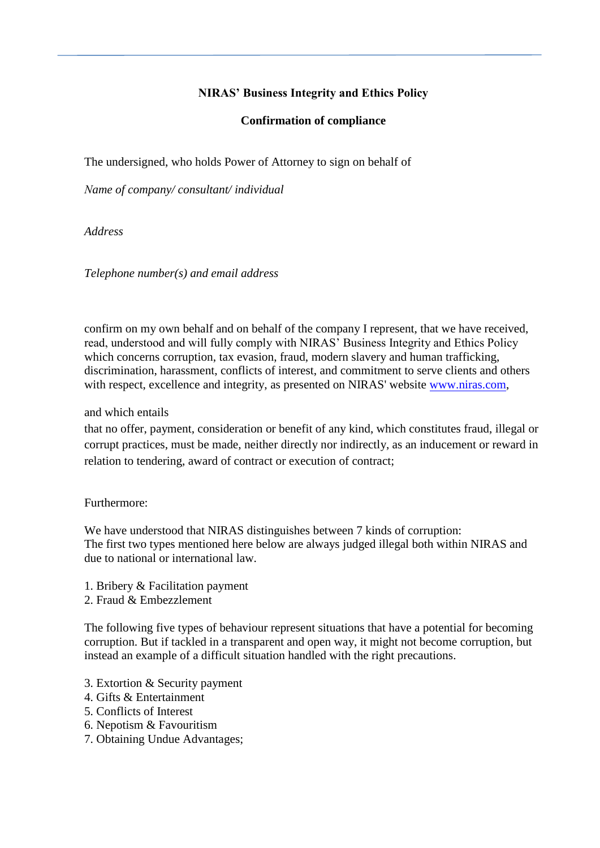## **NIRAS' Business Integrity and Ethics Policy**

## **Confirmation of compliance**

The undersigned, who holds Power of Attorney to sign on behalf of

*Name of company/ consultant/ individual*

*Address* 

*Telephone number(s) and email address*

confirm on my own behalf and on behalf of the company I represent, that we have received, read, understood and will fully comply with NIRAS' Business Integrity and Ethics Policy which concerns corruption, tax evasion, fraud, modern slavery and human trafficking, discrimination, harassment, conflicts of interest, and commitment to serve clients and others with respect, excellence and integrity, as presented on NIRAS' website [www.niras.com,](http://www.niras.com/)

and which entails

that no offer, payment, consideration or benefit of any kind, which constitutes fraud, illegal or corrupt practices, must be made, neither directly nor indirectly, as an inducement or reward in relation to tendering, award of contract or execution of contract;

## Furthermore:

We have understood that NIRAS distinguishes between 7 kinds of corruption: The first two types mentioned here below are always judged illegal both within NIRAS and due to national or international law.

- 1. Bribery & Facilitation payment
- 2. Fraud & Embezzlement

The following five types of behaviour represent situations that have a potential for becoming corruption. But if tackled in a transparent and open way, it might not become corruption, but instead an example of a difficult situation handled with the right precautions.

- 3. Extortion & Security payment
- 4. Gifts & Entertainment
- 5. Conflicts of Interest
- 6. Nepotism & Favouritism
- 7. Obtaining Undue Advantages;